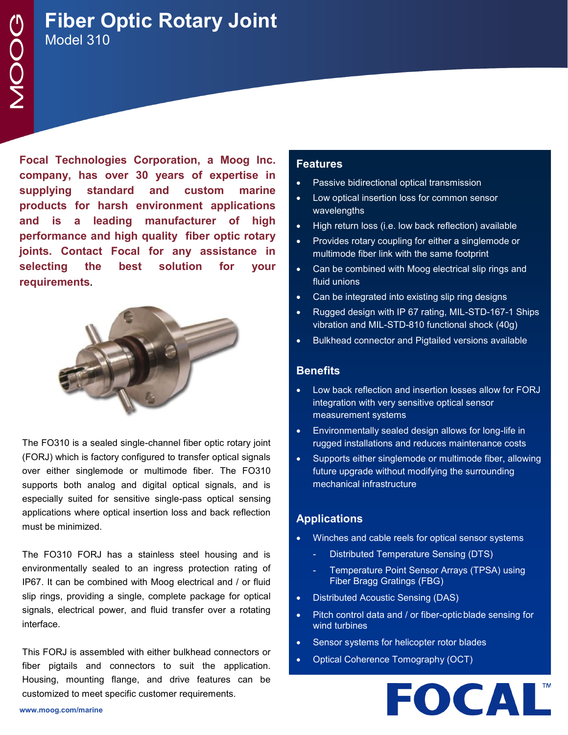# **Fiber Optic Rotary Joint** Model 310

**Focal Technologies Corporation, a Moog Inc. company, has over 30 years of expertise in supplying standard and custom marine products for harsh environment applications and is a leading manufacturer of high performance and high quality fiber optic rotary joints. Contact Focal for any assistance in selecting the best solution for your requirements.**



The FO310 is a sealed single-channel fiber optic rotary joint (FORJ) which is factory configured to transfer optical signals over either singlemode or multimode fiber. The FO310 supports both analog and digital optical signals, and is especially suited for sensitive single-pass optical sensing applications where optical insertion loss and back reflection must be minimized.

The FO310 FORJ has a stainless steel housing and is environmentally sealed to an ingress protection rating of IP67. It can be combined with Moog electrical and / or fluid slip rings, providing a single, complete package for optical signals, electrical power, and fluid transfer over a rotating interface.

This FORJ is assembled with either bulkhead connectors or fiber pigtails and connectors to suit the application. Housing, mounting flange, and drive features can be customized to meet specific customer requirements.

## **Features**

- Passive bidirectional optical transmission
- Low optical insertion loss for common sensor wavelengths
- High return loss (i.e. low back reflection) available
- Provides rotary coupling for either a singlemode or multimode fiber link with the same footprint
- Can be combined with Moog electrical slip rings and fluid unions
- Can be integrated into existing slip ring designs
- Rugged design with IP 67 rating, MIL-STD-167-1 Ships vibration and MIL-STD-810 functional shock (40g)
- Bulkhead connector and Pigtailed versions available

#### **Benefits**

- Low back reflection and insertion losses allow for FORJ integration with very sensitive optical sensor measurement systems
- Environmentally sealed design allows for long-life in rugged installations and reduces maintenance costs
- Supports either singlemode or multimode fiber, allowing future upgrade without modifying the surrounding mechanical infrastructure

## **Applications**

- Winches and cable reels for optical sensor systems
	- Distributed Temperature Sensing (DTS)
	- Temperature Point Sensor Arrays (TPSA) using Fiber Bragg Gratings (FBG)
- Distributed Acoustic Sensing (DAS)
- Pitch control data and / or fiber-optic blade sensing for wind turbines
- Sensor systems for helicopter rotor blades
- Optical Coherence Tomography (OCT)